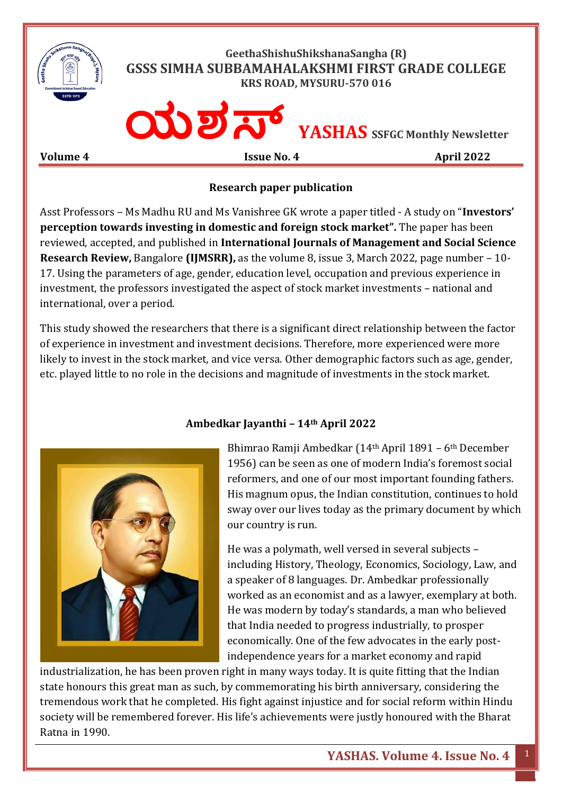

## **Research paper publication**

Asst Professors – Ms Madhu RU and Ms Vanishree GK wrote a paper titled - A study on "**Investors' perception towards investing in domestic and foreign stock market".** The paper has been reviewed, accepted, and published in **International Journals of Management and Social Science Research Review,** Bangalore **(IJMSRR),** as the volume 8, issue 3, March 2022, page number – 10- 17. Using the parameters of age, gender, education level, occupation and previous experience in investment, the professors investigated the aspect of stock market investments – national and international, over a period.

This study showed the researchers that there is a significant direct relationship between the factor of experience in investment and investment decisions. Therefore, more experienced were more likely to invest in the stock market, and vice versa. Other demographic factors such as age, gender, etc. played little to no role in the decisions and magnitude of investments in the stock market.



## **Ambedkar Jayanthi – 14th April 2022**

Bhimrao Ramji Ambedkar (14th April 1891 – 6th December 1956) can be seen as one of modern India's foremost social reformers, and one of our most important founding fathers. His magnum opus, the Indian constitution, continues to hold sway over our lives today as the primary document by which our country is run.

He was a polymath, well versed in several subjects – including History, Theology, Economics, Sociology, Law, and a speaker of 8 languages. Dr. Ambedkar professionally worked as an economist and as a lawyer, exemplary at both. He was modern by today's standards, a man who believed that India needed to progress industrially, to prosper economically. One of the few advocates in the early postindependence years for a market economy and rapid

industrialization, he has been proven right in many ways today. It is quite fitting that the Indian state honours this great man as such, by commemorating his birth anniversary, considering the tremendous work that he completed. His fight against injustice and for social reform within Hindu society will be remembered forever. His life's achievements were justly honoured with the Bharat Ratna in 1990.